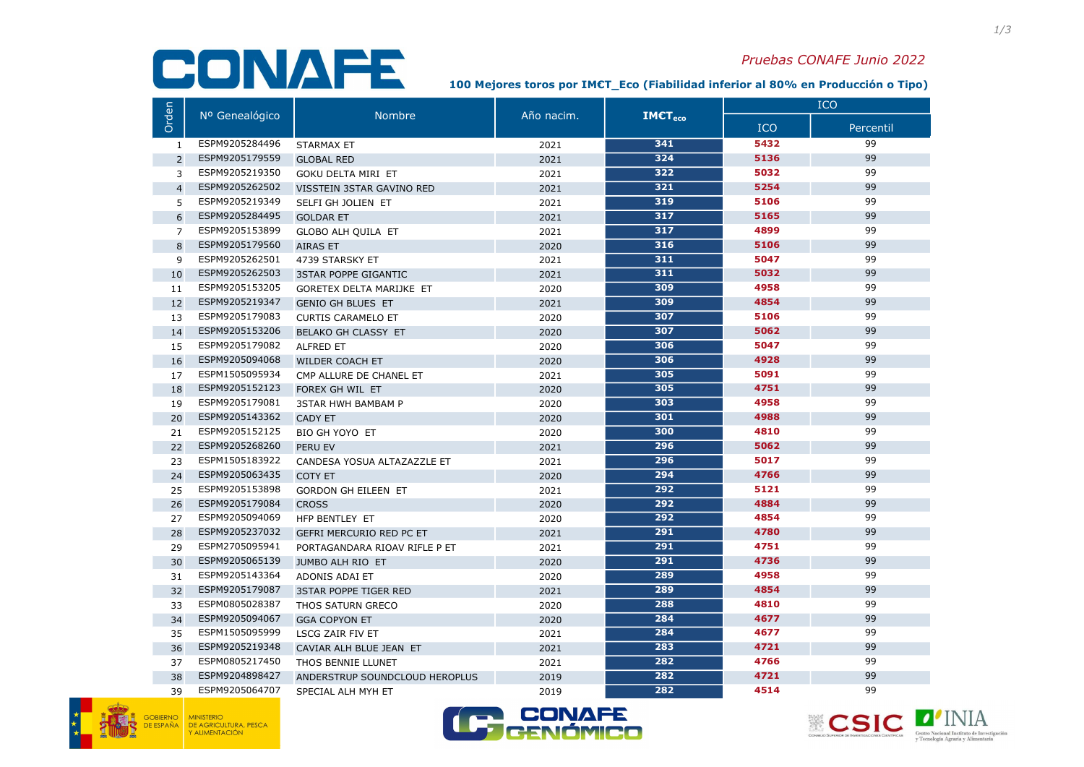## CONAFE

## Pruebas CONAFE Junio 2022

100 Mejores toros por IM€T\_Eco (Fiabilidad inferior al 80% en Producción o Tipo)

|                | Nº Genealógico | <b>Nombre</b>                   | Año nacim. | IMET <sub>em</sub> | <b>ICO</b> |           |
|----------------|----------------|---------------------------------|------------|--------------------|------------|-----------|
| Orden          |                |                                 |            |                    | <b>ICO</b> | Percentil |
| 1              | ESPM9205284496 | <b>STARMAX ET</b>               | 2021       | 341                | 5432       | 99        |
| $\overline{2}$ | ESPM9205179559 | <b>GLOBAL RED</b>               | 2021       | 324                | 5136       | 99        |
| 3              | ESPM9205219350 | <b>GOKU DELTA MIRI ET</b>       | 2021       | 322                | 5032       | 99        |
| $\overline{4}$ | ESPM9205262502 | VISSTEIN 3STAR GAVINO RED       | 2021       | 321                | 5254       | 99        |
| 5              | ESPM9205219349 | SELFI GH JOLIEN ET              | 2021       | 319                | 5106       | 99        |
| 6              | ESPM9205284495 | <b>GOLDAR ET</b>                | 2021       | 317                | 5165       | 99        |
| $\overline{7}$ | ESPM9205153899 | <b>GLOBO ALH QUILA ET</b>       | 2021       | 317                | 4899       | 99        |
| 8              | ESPM9205179560 | <b>AIRAS ET</b>                 | 2020       | 316                | 5106       | 99        |
| 9              | ESPM9205262501 | 4739 STARSKY ET                 | 2021       | 311                | 5047       | 99        |
| 10             | ESPM9205262503 | <b>3STAR POPPE GIGANTIC</b>     | 2021       | 311                | 5032       | 99        |
| 11             | ESPM9205153205 | GORETEX DELTA MARIJKE ET        | 2020       | 309                | 4958       | 99        |
| 12             | ESPM9205219347 | <b>GENIO GH BLUES ET</b>        | 2021       | 309                | 4854       | 99        |
| 13             | ESPM9205179083 | <b>CURTIS CARAMELO ET</b>       | 2020       | 307                | 5106       | 99        |
| 14             | ESPM9205153206 | <b>BELAKO GH CLASSY ET</b>      | 2020       | 307                | 5062       | 99        |
| 15             | ESPM9205179082 | <b>ALFRED ET</b>                | 2020       | 306                | 5047       | 99        |
| 16             | ESPM9205094068 | WILDER COACH ET                 | 2020       | 306                | 4928       | 99        |
| 17             | ESPM1505095934 | CMP ALLURE DE CHANEL ET         | 2021       | 305                | 5091       | 99        |
| 18             | ESPM9205152123 | FOREX GH WIL ET                 | 2020       | 305                | 4751       | 99        |
| 19             | ESPM9205179081 | <b>3STAR HWH BAMBAM P</b>       | 2020       | 303                | 4958       | 99        |
| 20             | ESPM9205143362 | <b>CADY ET</b>                  | 2020       | 301                | 4988       | 99        |
| 21             | ESPM9205152125 | BIO GH YOYO ET                  | 2020       | 300                | 4810       | 99        |
| 22             | ESPM9205268260 | <b>PERU EV</b>                  | 2021       | 296                | 5062       | 99        |
| 23             | ESPM1505183922 | CANDESA YOSUA ALTAZAZZLE ET     | 2021       | 296                | 5017       | 99        |
| 24             | ESPM9205063435 | <b>COTY ET</b>                  | 2020       | 294                | 4766       | 99        |
| 25             | ESPM9205153898 | <b>GORDON GH EILEEN ET</b>      | 2021       | 292                | 5121       | 99        |
| 26             | ESPM9205179084 | <b>CROSS</b>                    | 2020       | 292                | 4884       | 99        |
| 27             | ESPM9205094069 | HFP BENTLEY ET                  | 2020       | 292                | 4854       | 99        |
| 28             | ESPM9205237032 | <b>GEFRI MERCURIO RED PC ET</b> | 2021       | 291                | 4780       | 99        |
| 29             | ESPM2705095941 | PORTAGANDARA RIOAV RIFLE P ET   | 2021       | $\overline{291}$   | 4751       | 99        |
| 30             | ESPM9205065139 | <b>JUMBO ALH RIO ET</b>         | 2020       | 291                | 4736       | 99        |
| 31             | ESPM9205143364 | ADONIS ADAI ET                  | 2020       | 289                | 4958       | 99        |
| 32             | ESPM9205179087 | <b>3STAR POPPE TIGER RED</b>    | 2021       | 289                | 4854       | 99        |
| 33             | ESPM0805028387 | THOS SATURN GRECO               | 2020       | 288                | 4810       | 99        |
| 34             | ESPM9205094067 | <b>GGA COPYON ET</b>            | 2020       | 284                | 4677       | 99        |
| 35             | ESPM1505095999 | LSCG ZAIR FIV ET                | 2021       | 284                | 4677       | 99        |
| 36             | ESPM9205219348 | CAVIAR ALH BLUE JEAN ET         | 2021       | 283                | 4721       | 99        |
| 37             | ESPM0805217450 | THOS BENNIE LLUNET              | 2021       | 282                | 4766       | 99        |
| 38             | ESPM9204898427 | ANDERSTRUP SOUNDCLOUD HEROPLUS  | 2019       | 282                | 4721       | 99        |
| 39             | ESPM9205064707 | SPECIAL ALH MYH ET              | 2019       | 282                | 4514       | 99        |





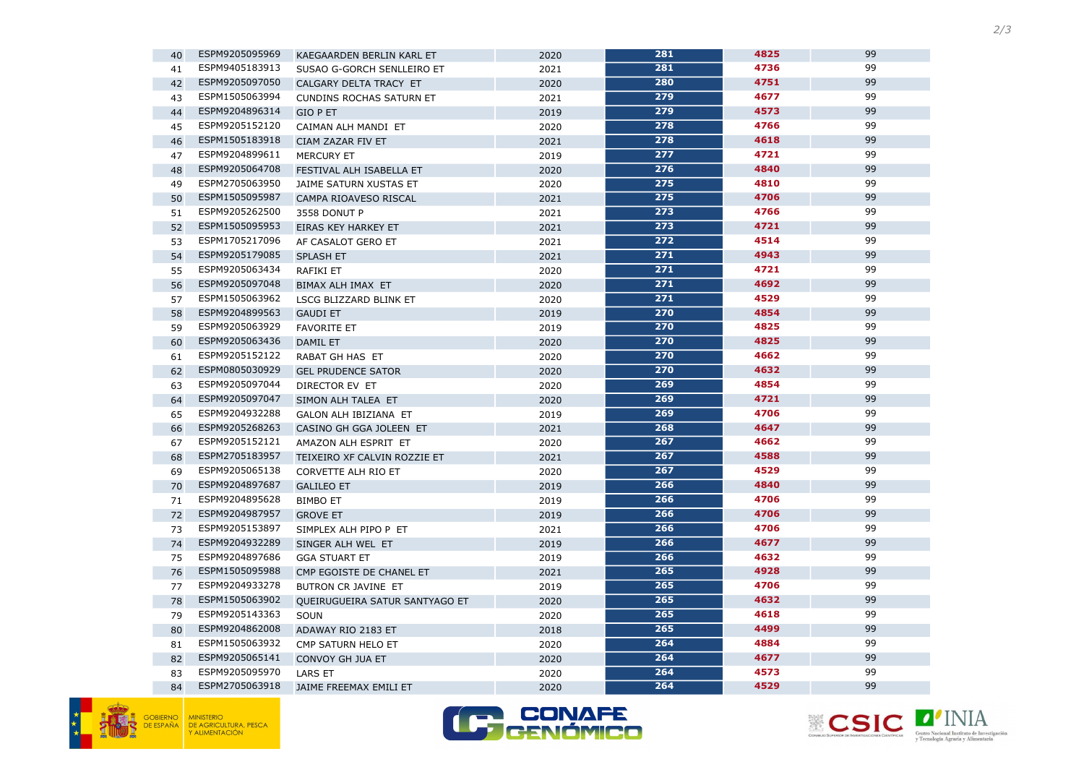





| 40 | ESPM9205095969 | KAEGAARDEN BERLIN KARL ET       | 2020 | 281              | 4825 | 99 |
|----|----------------|---------------------------------|------|------------------|------|----|
| 41 | ESPM9405183913 | SUSAO G-GORCH SENLLEIRO ET      | 2021 | 281              | 4736 | 99 |
| 42 | ESPM9205097050 | CALGARY DELTA TRACY ET          | 2020 | 280              | 4751 | 99 |
| 43 | ESPM1505063994 | <b>CUNDINS ROCHAS SATURN ET</b> | 2021 | 279              | 4677 | 99 |
| 44 | ESPM9204896314 | <b>GIO P ET</b>                 | 2019 | 279              | 4573 | 99 |
| 45 | ESPM9205152120 | CAIMAN ALH MANDI ET             | 2020 | 278              | 4766 | 99 |
| 46 | ESPM1505183918 | CIAM ZAZAR FIV ET               | 2021 | 278              | 4618 | 99 |
| 47 | ESPM9204899611 | <b>MERCURY ET</b>               | 2019 | 277              | 4721 | 99 |
| 48 | ESPM9205064708 | FESTIVAL ALH ISABELLA ET        | 2020 | 276              | 4840 | 99 |
| 49 | ESPM2705063950 | JAIME SATURN XUSTAS ET          | 2020 | 275              | 4810 | 99 |
| 50 | ESPM1505095987 | CAMPA RIOAVESO RISCAL           | 2021 | 275              | 4706 | 99 |
| 51 | ESPM9205262500 | 3558 DONUT P                    | 2021 | $\overline{273}$ | 4766 | 99 |
| 52 | ESPM1505095953 | EIRAS KEY HARKEY ET             | 2021 | 273              | 4721 | 99 |
| 53 | ESPM1705217096 | AF CASALOT GERO ET              | 2021 | 272              | 4514 | 99 |
| 54 | ESPM9205179085 | <b>SPLASH ET</b>                | 2021 | 271              | 4943 | 99 |
| 55 | ESPM9205063434 | RAFIKI ET                       | 2020 | $\overline{271}$ | 4721 | 99 |
| 56 | ESPM9205097048 | BIMAX ALH IMAX ET               | 2020 | 271              | 4692 | 99 |
| 57 | ESPM1505063962 | LSCG BLIZZARD BLINK ET          | 2020 | 271              | 4529 | 99 |
| 58 | ESPM9204899563 | <b>GAUDI ET</b>                 | 2019 | 270              | 4854 | 99 |
| 59 | ESPM9205063929 | <b>FAVORITE ET</b>              | 2019 | 270              | 4825 | 99 |
| 60 | ESPM9205063436 | <b>DAMIL ET</b>                 | 2020 | 270              | 4825 | 99 |
| 61 | ESPM9205152122 | RABAT GH HAS ET                 | 2020 | 270              | 4662 | 99 |
| 62 | ESPM0805030929 | <b>GEL PRUDENCE SATOR</b>       | 2020 | 270              | 4632 | 99 |
| 63 | ESPM9205097044 | DIRECTOR EV ET                  | 2020 | 269              | 4854 | 99 |
| 64 | ESPM9205097047 | SIMON ALH TALEA ET              | 2020 | 269              | 4721 | 99 |
| 65 | ESPM9204932288 | GALON ALH IBIZIANA ET           | 2019 | 269              | 4706 | 99 |
| 66 | ESPM9205268263 | CASINO GH GGA JOLEEN ET         | 2021 | 268              | 4647 | 99 |
| 67 | ESPM9205152121 | AMAZON ALH ESPRIT ET            | 2020 | 267              | 4662 | 99 |
| 68 | ESPM2705183957 | TEIXEIRO XF CALVIN ROZZIE ET    | 2021 | 267              | 4588 | 99 |
| 69 | ESPM9205065138 | CORVETTE ALH RIO ET             | 2020 | $\overline{267}$ | 4529 | 99 |
| 70 | ESPM9204897687 | <b>GALILEO ET</b>               | 2019 | 266              | 4840 | 99 |
| 71 | ESPM9204895628 | <b>BIMBO ET</b>                 | 2019 | 266              | 4706 | 99 |
| 72 | ESPM9204987957 | <b>GROVE ET</b>                 | 2019 | 266              | 4706 | 99 |
| 73 | ESPM9205153897 | SIMPLEX ALH PIPO P ET           | 2021 | 266              | 4706 | 99 |
| 74 | ESPM9204932289 | SINGER ALH WEL ET               | 2019 | 266              | 4677 | 99 |
| 75 | ESPM9204897686 | <b>GGA STUART ET</b>            | 2019 | 266              | 4632 | 99 |
| 76 | ESPM1505095988 | CMP EGOISTE DE CHANEL ET        | 2021 | 265              | 4928 | 99 |
| 77 | ESPM9204933278 | BUTRON CR JAVINE ET             | 2019 | 265              | 4706 | 99 |
| 78 | ESPM1505063902 | QUEIRUGUEIRA SATUR SANTYAGO ET  | 2020 | 265              | 4632 | 99 |
| 79 | ESPM9205143363 | SOUN                            | 2020 | 265              | 4618 | 99 |
| 80 | ESPM9204862008 | ADAWAY RIO 2183 ET              | 2018 | 265              | 4499 | 99 |
| 81 | ESPM1505063932 | CMP SATURN HELO ET              | 2020 | 264              | 4884 | 99 |
| 82 | ESPM9205065141 | CONVOY GH JUA ET                | 2020 | 264              | 4677 | 99 |
| 83 | ESPM9205095970 | <b>LARS ET</b>                  | 2020 | 264              | 4573 | 99 |
| 84 | ESPM2705063918 | JAIME FREEMAX EMILI ET          | 2020 | 264              | 4529 | 99 |